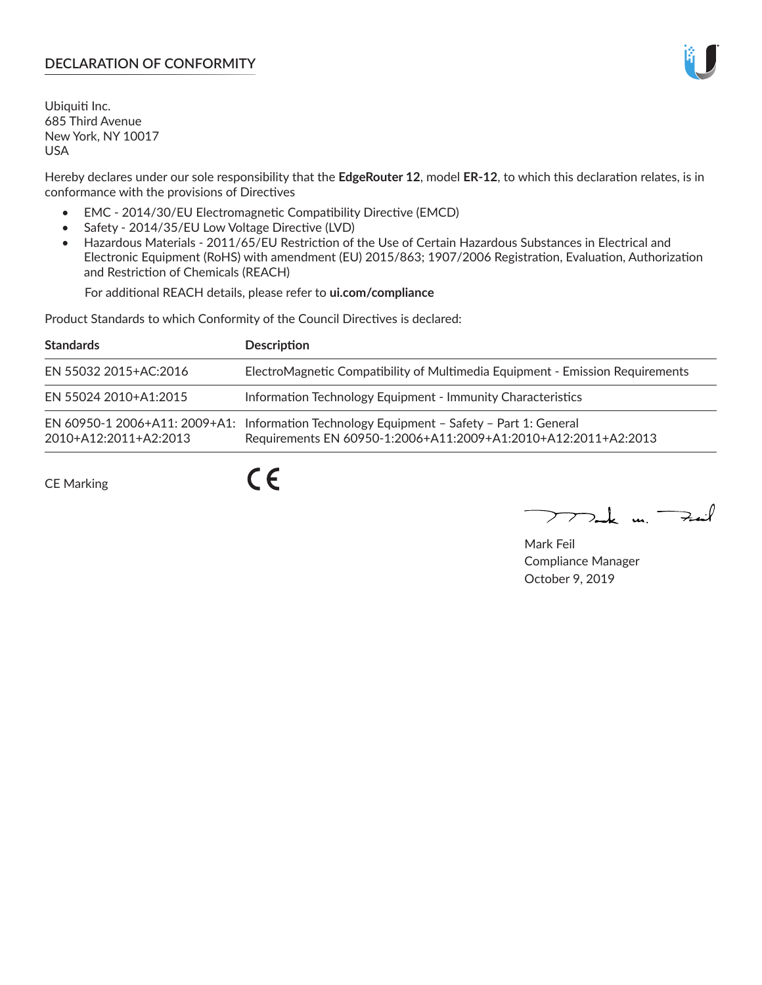# **DECLARATION OF CONFORMITY**

Ubiquiti Inc. 685 Third Avenue New York, NY 10017 USA

Hereby declares under our sole responsibility that the **EdgeRouter 12**, model **ER-12**, to which this declaration relates, is in conformance with the provisions of Directives

- EMC 2014/30/EU Electromagnetic Compatibility Directive (EMCD)
- Safety 2014/35/EU Low Voltage Directive (LVD)
- Hazardous Materials 2011/65/EU Restriction of the Use of Certain Hazardous Substances in Electrical and Electronic Equipment (RoHS) with amendment (EU) 2015/863; 1907/2006 Registration, Evaluation, Authorization and Restriction of Chemicals (REACH)

For additional REACH details, please refer to **ui.com/compliance**

Product Standards to which Conformity of the Council Directives is declared:

| <b>Standards</b>      | <b>Description</b>                                                                                                                                          |
|-----------------------|-------------------------------------------------------------------------------------------------------------------------------------------------------------|
| EN 55032 2015+AC:2016 | ElectroMagnetic Compatibility of Multimedia Equipment - Emission Requirements                                                                               |
| EN 55024 2010+A1:2015 | Information Technology Equipment - Immunity Characteristics                                                                                                 |
| 2010+A12:2011+A2:2013 | EN 60950-1 2006+A11: 2009+A1: Information Technology Equipment - Safety - Part 1: General<br>Requirements EN 60950-1:2006+A11:2009+A1:2010+A12:2011+A2:2013 |

CE Marking

 $C \in$ 

 $\nabla$ ak m $\nabla$ zail

Mark Feil Compliance Manager October 9, 2019

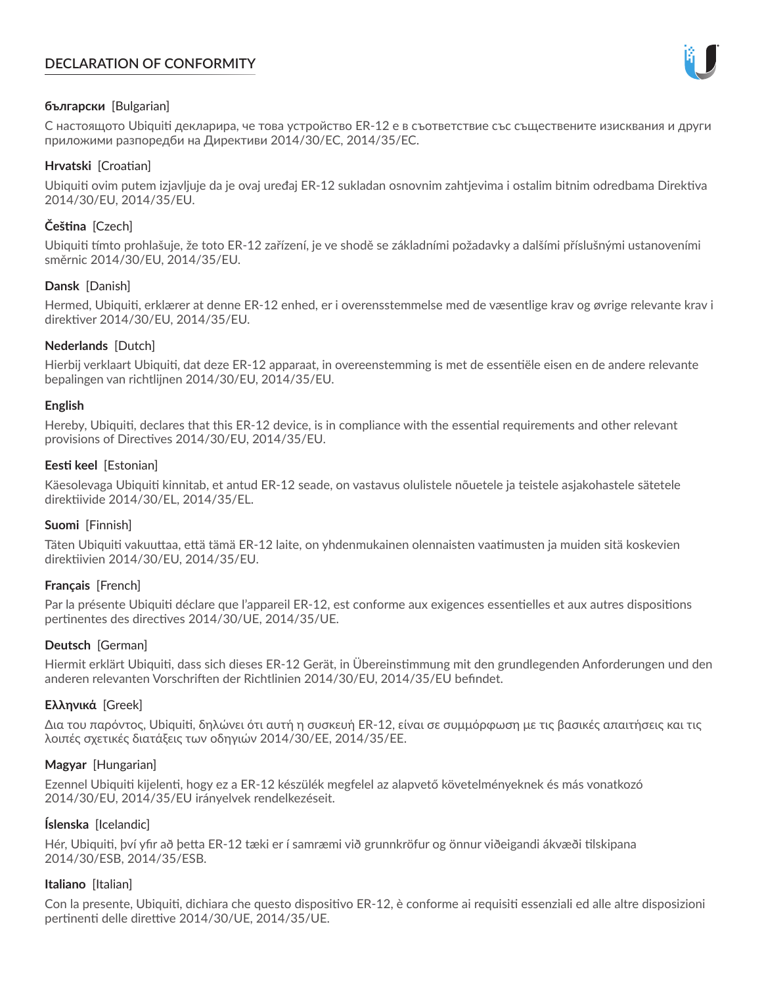# **DECLARATION OF CONFORMITY**



## **български** [Bulgarian]

С настоящото Ubiquiti декларира, че това устройство ER-12 е в съответствие със съществените изисквания и други приложими разпоредби на Директиви 2014/30/ЕС, 2014/35/ЕС.

## **Hrvatski** [Croatian]

Ubiquiti ovim putem izjavljuje da je ovaj uređaj ER-12 sukladan osnovnim zahtjevima i ostalim bitnim odredbama Direktiva 2014/30/EU, 2014/35/EU.

# **Čeština** [Czech]

Ubiquiti tímto prohlašuje, že toto ER-12 zařízení, je ve shodě se základními požadavky a dalšími příslušnými ustanoveními směrnic 2014/30/EU, 2014/35/EU.

## **Dansk** [Danish]

Hermed, Ubiquiti, erklærer at denne ER-12 enhed, er i overensstemmelse med de væsentlige krav og øvrige relevante krav i direktiver 2014/30/EU, 2014/35/EU.

## **Nederlands** [Dutch]

Hierbij verklaart Ubiquiti, dat deze ER-12 apparaat, in overeenstemming is met de essentiële eisen en de andere relevante bepalingen van richtlijnen 2014/30/EU, 2014/35/EU.

## **English**

Hereby, Ubiquiti, declares that this ER-12 device, is in compliance with the essential requirements and other relevant provisions of Directives 2014/30/EU, 2014/35/EU.

## **Eesti keel** [Estonian]

Käesolevaga Ubiquiti kinnitab, et antud ER-12 seade, on vastavus olulistele nõuetele ja teistele asjakohastele sätetele direktiivide 2014/30/EL, 2014/35/EL.

## **Suomi** [Finnish]

Täten Ubiquiti vakuuttaa, että tämä ER-12 laite, on yhdenmukainen olennaisten vaatimusten ja muiden sitä koskevien direktiivien 2014/30/EU, 2014/35/EU.

## **Français** [French]

Par la présente Ubiquiti déclare que l'appareil ER-12, est conforme aux exigences essentielles et aux autres dispositions pertinentes des directives 2014/30/UE, 2014/35/UE.

## **Deutsch** [German]

Hiermit erklärt Ubiquiti, dass sich dieses ER-12 Gerät, in Übereinstimmung mit den grundlegenden Anforderungen und den anderen relevanten Vorschriften der Richtlinien 2014/30/EU, 2014/35/EU befindet.

## **Ελληνικά** [Greek]

Δια του παρόντος, Ubiquiti, δηλώνει ότι αυτή η συσκευή ER-12, είναι σε συμμόρφωση με τις βασικές απαιτήσεις και τις λοιπές σχετικές διατάξεις των οδηγιών 2014/30/EE, 2014/35/EE.

## **Magyar** [Hungarian]

Ezennel Ubiquiti kijelenti, hogy ez a ER-12 készülék megfelel az alapvető követelményeknek és más vonatkozó 2014/30/EU, 2014/35/EU irányelvek rendelkezéseit.

## **Íslenska** [Icelandic]

Hér, Ubiquiti, því yfir að þetta ER-12 tæki er í samræmi við grunnkröfur og önnur viðeigandi ákvæði tilskipana 2014/30/ESB, 2014/35/ESB.

## **Italiano** [Italian]

Con la presente, Ubiquiti, dichiara che questo dispositivo ER-12, è conforme ai requisiti essenziali ed alle altre disposizioni pertinenti delle direttive 2014/30/UE, 2014/35/UE.